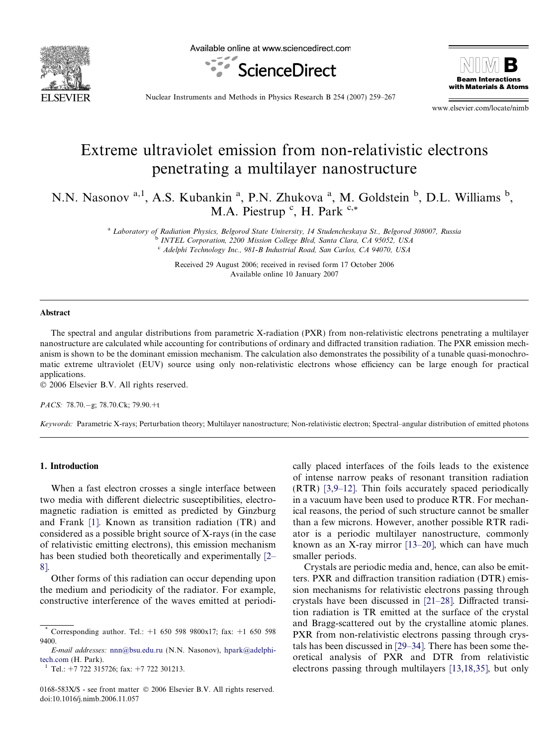

Available online at www.sciencedirect.com





Nuclear Instruments and Methods in Physics Research B 254 (2007) 259–267

www.elsevier.com/locate/nimb

# Extreme ultraviolet emission from non-relativistic electrons penetrating a multilayer nanostructure

N.N. Nasonov<sup>a, 1</sup>, A.S. Kubankin<sup>a</sup>, P.N. Zhukova<sup>a</sup>, M. Goldstein<sup>b</sup>, D.L. Williams<sup>b</sup>, M.A. Piestrup<sup>c</sup>, H. Park<sup>c,\*</sup>

> <sup>a</sup> Laboratory of Radiation Physics, Belgorod State University, 14 Studencheskaya St., Belgorod 308007, Russia b INTEL Corporation, 2200 Mission College Blvd, Santa Clara, CA 95052, USA <sup>c</sup> Adelphi Technology Inc., 981-B Industrial Road, San Carlos, CA 94070, USA

> > Received 29 August 2006; received in revised form 17 October 2006 Available online 10 January 2007

## Abstract

The spectral and angular distributions from parametric X-radiation (PXR) from non-relativistic electrons penetrating a multilayer nanostructure are calculated while accounting for contributions of ordinary and diffracted transition radiation. The PXR emission mechanism is shown to be the dominant emission mechanism. The calculation also demonstrates the possibility of a tunable quasi-monochromatic extreme ultraviolet (EUV) source using only non-relativistic electrons whose efficiency can be large enough for practical applications.

© 2006 Elsevier B.V. All rights reserved.

PACS: 78.70.-g; 78.70.Ck; 79.90.+t

Keywords: Parametric X-rays; Perturbation theory; Multilayer nanostructure; Non-relativistic electron; Spectral–angular distribution of emitted photons

# 1. Introduction

When a fast electron crosses a single interface between two media with different dielectric susceptibilities, electromagnetic radiation is emitted as predicted by Ginzburg and Frank [\[1\].](#page-7-0) Known as transition radiation (TR) and considered as a possible bright source of X-rays (in the case of relativistic emitting electrons), this emission mechanism has been studied both theoretically and experimentally [\[2–](#page-7-0) [8\]](#page-7-0).

Other forms of this radiation can occur depending upon the medium and periodicity of the radiator. For example, constructive interference of the waves emitted at periodi-

0168-583X/\$ - see front matter © 2006 Elsevier B.V. All rights reserved. doi:10.1016/j.nimb.2006.11.057

cally placed interfaces of the foils leads to the existence of intense narrow peaks of resonant transition radiation (RTR) [\[3,9–12\].](#page-7-0) Thin foils accurately spaced periodically in a vacuum have been used to produce RTR. For mechanical reasons, the period of such structure cannot be smaller than a few microns. However, another possible RTR radiator is a periodic multilayer nanostructure, commonly known as an X-ray mirror [\[13–20\],](#page-8-0) which can have much smaller periods.

Crystals are periodic media and, hence, can also be emitters. PXR and diffraction transition radiation (DTR) emission mechanisms for relativistic electrons passing through crystals have been discussed in [\[21–28\]](#page-8-0). Diffracted transition radiation is TR emitted at the surface of the crystal and Bragg-scattered out by the crystalline atomic planes. PXR from non-relativistic electrons passing through crystals has been discussed in [\[29–34\].](#page-8-0) There has been some theoretical analysis of PXR and DTR from relativistic electrons passing through multilayers [\[13,18,35\],](#page-8-0) but only

Corresponding author. Tel.:  $+1$  650 598 9800x17; fax:  $+1$  650 598 9400.

E-mail addresses: [nnn@bsu.edu.ru](mailto:nnn@bsu.edu.ru) (N.N. Nasonov), [hpark@adelphi](mailto:hpark@adelphitech.com)[tech.com](mailto:hpark@adelphitech.com) (H. Park).<br><sup>1</sup> Tel.: +7 722 315726; fax: +7 722 301213.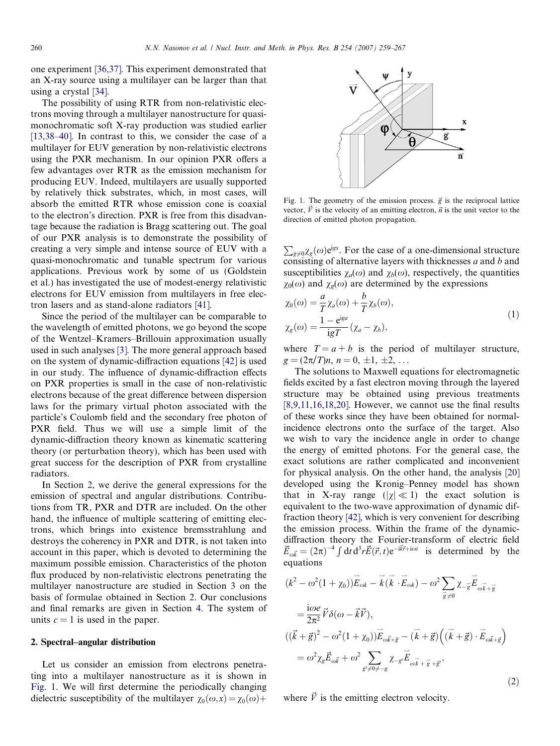<span id="page-1-0"></span>one experiment [\[36,37\].](#page-8-0) This experiment demonstrated that an X-ray source using a multilayer can be larger than that using a crystal [\[34\].](#page-8-0)

The possibility of using RTR from non-relativistic electrons moving through a multilayer nanostructure for quasimonochromatic soft X-ray production was studied earlier [\[13,38–40\].](#page-8-0) In contrast to this, we consider the case of a multilayer for EUV generation by non-relativistic electrons using the PXR mechanism. In our opinion PXR offers a few advantages over RTR as the emission mechanism for producing EUV. Indeed, multilayers are usually supported by relatively thick substrates, which, in most cases, will absorb the emitted RTR whose emission cone is coaxial to the electron's direction. PXR is free from this disadvantage because the radiation is Bragg scattering out. The goal of our PXR analysis is to demonstrate the possibility of creating a very simple and intense source of EUV with a quasi-monochromatic and tunable spectrum for various applications. Previous work by some of us (Goldstein et al.) has investigated the use of modest-energy relativistic electrons for EUV emission from multilayers in free electron lasers and as stand-alone radiators [\[41\].](#page-8-0)

Since the period of the multilayer can be comparable to the wavelength of emitted photons, we go beyond the scope of the Wentzel–Kramers–Brillouin approximation usually used in such analyses [\[3\].](#page-7-0) The more general approach based on the system of dynamic-diffraction equations [\[42\]](#page-8-0) is used in our study. The influence of dynamic-diffraction effects on PXR properties is small in the case of non-relativistic electrons because of the great difference between dispersion laws for the primary virtual photon associated with the particle's Coulomb field and the secondary free photon of PXR field. Thus we will use a simple limit of the dynamic-diffraction theory known as kinematic scattering theory (or perturbation theory), which has been used with great success for the description of PXR from crystalline radiators.

In Section 2, we derive the general expressions for the emission of spectral and angular distributions. Contributions from TR, PXR and DTR are included. On the other hand, the influence of multiple scattering of emitting electrons, which brings into existence bremsstrahlung and destroys the coherency in PXR and DTR, is not taken into account in this paper, which is devoted to determining the maximum possible emission. Characteristics of the photon flux produced by non-relativistic electrons penetrating the multilayer nanostructure are studied in Section [3](#page-3-0) on the basis of formulae obtained in Section 2. Our conclusions and final remarks are given in Section [4.](#page-7-0) The system of units  $c = 1$  is used in the paper.

## 2. Spectral–angular distribution

Let us consider an emission from electrons penetrating into a multilayer nanostructure as it is shown in Fig. 1. We will first determine the periodically changing dielectric susceptibility of the multilayer  $\chi_0(\omega, x) = \chi_0(\omega) +$ 



Fig. 1. The geometry of the emission process.  $\vec{g}$  is the reciprocal lattice vector,  $\vec{V}$  is the velocity of an emitting electron,  $\vec{n}$  is the unit vector to the direction of emitted photon propagation.

 $\sum_{\bar{g}\neq 0} \chi_g(\omega) e^{igx}$ . For the case of a one-dimensional structure consisting of alternative layers with thicknesses a and b and susceptibilities  $\chi_a(\omega)$  and  $\chi_b(\omega)$ , respectively, the quantities  $\chi_0(\omega)$  and  $\chi_{\varrho}(\omega)$  are determined by the expressions

$$
\chi_0(\omega) = \frac{a}{T} \chi_a(\omega) + \frac{b}{T} \chi_b(\omega),
$$
  
\n
$$
\chi_g(\omega) = \frac{1 - e^{ig\omega}}{igT} (\chi_a - \chi_b),
$$
\n(1)

where  $T = a + b$  is the period of multilayer structure,  $g = (2\pi/T)n$ ,  $n = 0, \pm 1, \pm 2, \ldots$ 

The solutions to Maxwell equations for electromagnetic fields excited by a fast electron moving through the layered structure may be obtained using previous treatments [\[8,9,11,16,18,20\].](#page-7-0) However, we cannot use the final results of these works since they have been obtained for normalincidence electrons onto the surface of the target. Also we wish to vary the incidence angle in order to change the energy of emitted photons. For the general case, the exact solutions are rather complicated and inconvenient for physical analysis. On the other hand, the analysis [\[20\]](#page-8-0) developed using the Kronig–Penney model has shown that in X-ray range ( $|\chi| \ll 1$ ) the exact solution is equivalent to the two-wave approximation of dynamic diffraction theory [\[42\]](#page-8-0), which is very convenient for describing the emission process. Within the frame of the dynamicdiffraction theory the Fourier-transform of electric field  $\vec{E}_{\omega \vec{k}} = (2\pi)^{-4} \int dt d^3r \vec{E}(\vec{r}, t) e^{-i\vec{k}\vec{r} + i\omega t}$  is determined by the equations

$$
(k^2 - \omega^2 (1 + \chi_0)) \vec{E}_{\omega k} - \vec{k} (\vec{k} \cdot \vec{E}_{\omega k}) - \omega^2 \sum_{\vec{g} \neq 0} \chi_{-\vec{g}} \vec{E}_{\omega \vec{k} + \vec{g}}
$$
  
\n
$$
= \frac{i \omega e}{2\pi^2} \vec{V} \delta(\omega - \vec{k} \vec{V}),
$$
  
\n
$$
((\vec{k} + \vec{g})^2 - \omega^2 (1 + \chi_0)) \vec{E}_{\omega \vec{k} + \vec{g}} - (\vec{k} + \vec{g}) (\vec{k} + \vec{g}) \cdot \vec{E}_{\omega \vec{k} + \vec{g}})
$$
  
\n
$$
= \omega^2 \chi_g \vec{E}_{\omega \vec{k}} + \omega^2 \sum_{g' \neq 0 \neq -g} \chi_{-g'} \vec{E}_{\omega \vec{k} + \vec{g} + \vec{g}'},
$$
  
\n(2)

where  $\vec{V}$  is the emitting electron velocity.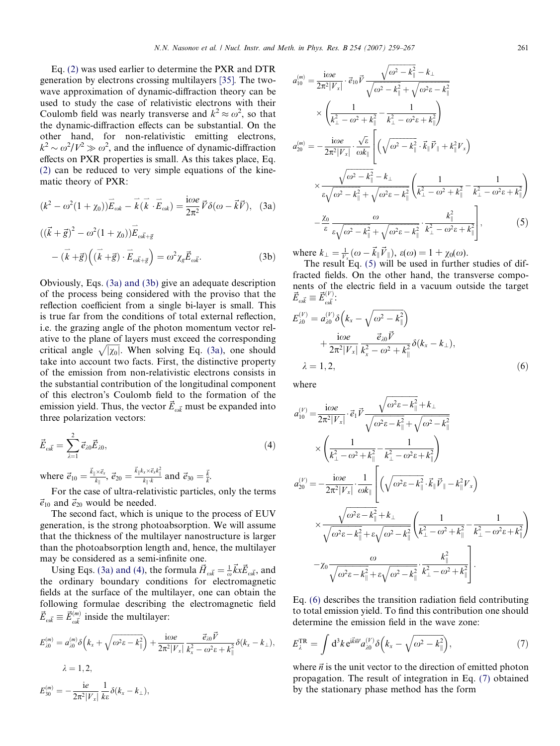N.N. Nasonov et al. / Nucl. Instr. and Meth. in Phys. Res. B 254 (2007) 259–267 261

<span id="page-2-0"></span>Eq. [\(2\)](#page-1-0) was used earlier to determine the PXR and DTR generation by electrons crossing multilayers [\[35\].](#page-8-0) The twowave approximation of dynamic-diffraction theory can be used to study the case of relativistic electrons with their Coulomb field was nearly transverse and  $k^2 \approx \omega^2$ , so that the dynamic-diffraction effects can be substantial. On the other hand, for non-relativistic emitting electrons,  $k^2 \sim \omega^2/V^2 \gg \omega^2$ , and the influence of dynamic-diffraction effects on PXR properties is small. As this takes place, Eq. [\(2\)](#page-1-0) can be reduced to very simple equations of the kinematic theory of PXR:

$$
(k^2 - \omega^2 (1 + \chi_0)) \vec{E}_{\omega k} - \vec{k} (\vec{k} \cdot \vec{E}_{\omega k}) = \frac{\mathrm{i} \omega e}{2\pi^2} \vec{V} \delta(\omega - \vec{k} \vec{V}), \quad (3a)
$$

$$
((\vec{k} + \vec{g})^2 - \omega^2 (1 + \chi_0)) \vec{E}_{\omega \vec{k} + \vec{g}}
$$

$$
- (\vec{k} + \vec{g}) ((\vec{k} + \vec{g}) \cdot \vec{E}_{\omega \vec{k} + \vec{g}}) = \omega^2 \chi_g \vec{E}_{\omega \vec{k}}.
$$
(3b)

Obviously, Eqs. (3a) and (3b) give an adequate description of the process being considered with the proviso that the reflection coefficient from a single bi-layer is small. This is true far from the conditions of total external reflection, i.e. the grazing angle of the photon momentum vector relative to the plane of layers must exceed the corresponding critical angle  $\sqrt{|\chi_0|}$ . When solving Eq. (3a), one should take into account two facts. First, the distinctive property of the emission from non-relativistic electrons consists in the substantial contribution of the longitudinal component of this electron's Coulomb field to the formation of the emission yield. Thus, the vector  $\vec{E}_{\omega k}$  must be expanded into three polarization vectors:

$$
\vec{E}_{\omega \vec{k}} = \sum_{\lambda=1}^{2} \vec{e}_{\lambda 0} \vec{E}_{\lambda 0},\tag{4}
$$

where  $\vec{e}_{10} = \frac{\vec{k}_{\parallel} \times \vec{e}_x}{k_{\parallel}}$ ,  $\vec{e}_{20} = \frac{\vec{k}_{\parallel} k_x \times \vec{e}_x k_{\parallel}^2}{k_{\parallel} \cdot k}$  and  $\vec{e}_{30} = \frac{\vec{k}}{k}$ .

For the case of ultra-relativistic particles, only the terms  $\vec{e}_{10}$  and  $\vec{e}_{20}$  would be needed.

The second fact, which is unique to the process of EUV generation, is the strong photoabsorption. We will assume that the thickness of the multilayer nanostructure is larger than the photoabsorption length and, hence, the multilayer may be considered as a semi-infinite one.

Using Eqs. (3a) and (4), the formula  $\vec{H}_{\omega k} = \frac{1}{\omega} \vec{k} x \vec{E}_{\omega k}$ , and the ordinary boundary conditions for electromagnetic fields at the surface of the multilayer, one can obtain the following formulae describing the electromagnetic field  $\vec{E}_{\omega \vec{k}} \equiv \vec{E}^{(m)}_{\omega \vec{k}}$  inside the multilayer:

$$
E_{\lambda 0}^{(m)} = a_{\lambda 0}^{(m)} \delta\left(k_x + \sqrt{\omega^2 \varepsilon - k_{\parallel}^2}\right) + \frac{\mathrm{i}\omega e}{2\pi^2 |V_x|} \frac{\vec{e}_{\lambda 0} \vec{V}}{k_x^2 - \omega^2 \varepsilon + k_{\parallel}^2} \delta(k_x - k_{\perp}),
$$
  

$$
\lambda = 1, 2,
$$
  

$$
E_{30}^{(m)} = -\frac{\mathrm{i} e}{2\pi^2 |V_x|} \frac{1}{k \varepsilon} \delta(k_x - k_{\perp}),
$$

$$
a_{10}^{(m)} = \frac{\mathrm{i}\omega e}{2\pi^2|V_x|} \cdot \vec{e}_{10}\vec{V} \frac{\sqrt{\omega^2 - k_{\parallel}^2} - k_{\perp}}{\sqrt{\omega^2 - k_{\parallel}^2} + \sqrt{\omega^2 \varepsilon - k_{\parallel}^2}}
$$
  
\n
$$
\times \left(\frac{1}{k_{\perp}^2 - \omega^2 + k_{\parallel}^2} - \frac{1}{k_{\perp}^2 - \omega^2 \varepsilon + k_{\parallel}^2}\right)
$$
  
\n
$$
a_{20}^{(m)} = -\frac{\mathrm{i}\omega e}{2\pi^2|V_x|} \cdot \frac{\sqrt{e}}{\omega k_{\parallel}} \left[\left(\sqrt{\omega^2 - k_{\parallel}^2} \cdot \vec{k}_{\parallel}\vec{V}_{\parallel} + k_{\parallel}^2V_x\right)\right]
$$
  
\n
$$
\times \frac{\sqrt{\omega^2 - k_{\parallel}^2} - k_{\perp}}{\varepsilon\sqrt{\omega^2 - k_{\parallel}^2} + \sqrt{\omega^2 \varepsilon - k_{\parallel}^2}} \left(\frac{1}{k_{\perp}^2 - \omega^2 + k_{\parallel}^2} - \frac{1}{k_{\perp}^2 - \omega^2 \varepsilon + k_{\parallel}^2}\right)
$$
  
\n
$$
-\frac{\chi_0}{\varepsilon} \frac{\omega}{\varepsilon\sqrt{\omega^2 - k_{\parallel}^2} + \sqrt{\omega^2 \varepsilon - k_{\parallel}^2}} \cdot \frac{k_{\parallel}^2}{k_{\perp}^2 - \omega^2 \varepsilon + k_{\parallel}^2},
$$
(5)

where  $k_{\perp} = \frac{1}{V_x} (\omega - \vec{k}_{\parallel} \vec{V}_{\parallel}), \varepsilon(\omega) = 1 + \chi_0(\omega).$ 

The result Eq. (5) will be used in further studies of diffracted fields. On the other hand, the transverse components of the electric field in a vacuum outside the target  $\vec{E}_{\omega \vec{k}} \equiv \vec{E}^{(V)}_{\omega \vec{k}}$ 

$$
E_{\lambda 0}^{(V)} = a_{\lambda 0}^{(V)} \delta \left( k_x - \sqrt{\omega^2 - k_{\parallel}^2} \right)
$$
  
+ 
$$
\frac{i\omega e}{2\pi^2 |V_x|} \frac{\vec{e}_{\lambda 0} \vec{V}}{k_x^2 - \omega^2 + k_{\parallel}^2} \delta(k_x - k_{\perp}),
$$
  

$$
\lambda = 1, 2,
$$
 (6)

where

$$
a_{10}^{(V)} = \frac{i\omega e}{2\pi^2 |V_x|} \cdot \vec{e}_1 \vec{V} \frac{\sqrt{\omega^2 e - k_{\parallel}^2} + k_{\perp}}{\sqrt{\omega^2 e - k_{\parallel}^2} + \sqrt{\omega^2 - k_{\parallel}^2}}
$$
  
\n
$$
\times \left(\frac{1}{k_{\perp}^2 - \omega^2 + k_{\parallel}^2} - \frac{1}{k_{\perp}^2 - \omega^2 e + k_{\parallel}^2}\right)
$$
  
\n
$$
a_{20}^{(V)} = -\frac{i\omega e}{2\pi^2 |V_x|} \cdot \frac{1}{\omega k_{\parallel}} \left[ \left(\sqrt{\omega^2 e - k_{\parallel}^2} \cdot \vec{k}_{\parallel} \vec{V}_{\parallel} - k_{\parallel}^2 V_x\right) \right.
$$
  
\n
$$
\times \frac{\sqrt{\omega^2 e - k_{\parallel}^2} + k_{\perp}}{\sqrt{\omega^2 e - k_{\parallel}^2} + \varepsilon \sqrt{\omega^2 - k_{\parallel}^2}} \left(\frac{1}{k_{\perp}^2 - \omega^2 + k_{\parallel}^2} - \frac{1}{k_{\perp}^2 - \omega^2 e + k_{\parallel}^2}\right)
$$
  
\n
$$
- \chi_0 \frac{\omega}{\sqrt{\omega^2 e - k_{\parallel}^2} + \varepsilon \sqrt{\omega^2 - k_{\parallel}^2}} \cdot \frac{k_{\parallel}^2}{k_{\perp}^2 - \omega^2 + k_{\parallel}^2}.
$$

Eq. (6) describes the transition radiation field contributing to total emission yield. To find this contribution one should determine the emission field in the wave zone:

$$
E_{\lambda}^{\text{TR}} = \int d^3k \,\mathrm{e}^{\mathrm{i}\vec{k}\vec{m}t} a_{\lambda 0}^{(V)} \delta\left(k_x - \sqrt{\omega^2 - k_{\parallel}^2}\right),\tag{7}
$$

where  $\vec{n}$  is the unit vector to the direction of emitted photon propagation. The result of integration in Eq. (7) obtained by the stationary phase method has the form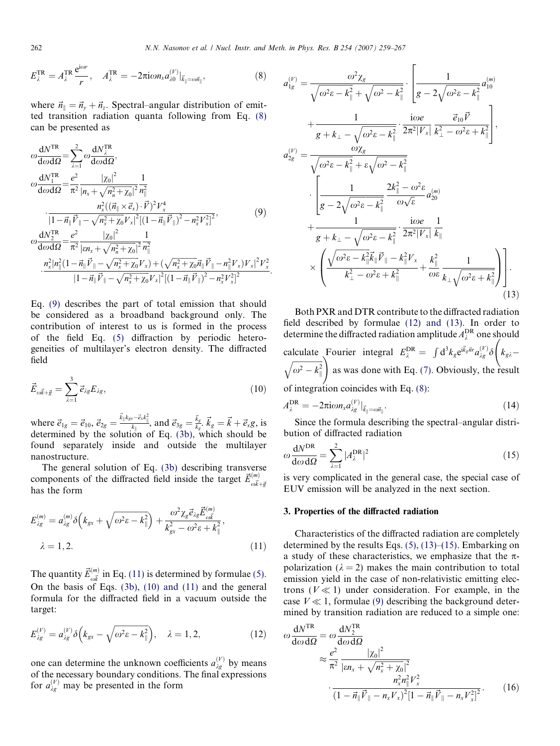<span id="page-3-0"></span>
$$
E_{\lambda}^{\text{TR}} = A_{\lambda}^{\text{TR}} \frac{e^{i\omega r}}{r}, \quad A_{\lambda}^{\text{TR}} = -2\pi i \omega n_{x} a_{\lambda 0}^{(V)}|_{\vec{k}_{\parallel} = \omega \vec{n}_{\parallel}}, \tag{8}
$$

where  $\vec{n}_{\parallel} = \vec{n}_{\nu} + \vec{n}_{z}$ . Spectral–angular distribution of emitted transition radiation quanta following from Eq. [\(8\)](#page-2-0) can be presented as

$$
\omega \frac{dN^{TR}}{d\omega d\Omega} = \sum_{\lambda=1}^{2} \omega \frac{dN_{\lambda}^{TR}}{d\omega d\Omega},
$$
\n
$$
\omega \frac{dN_{1}^{TR}}{d\omega d\Omega} = \frac{e^{2}}{\pi^{2}} \frac{|\chi_{0}|^{2}}{|n_{x} + \sqrt{n_{n}^{2} + \chi_{0}}|^{2}} \frac{1}{n_{\parallel}^{2}}
$$
\n
$$
\frac{n_{x}^{2}((\vec{n}_{\parallel} \times \vec{e}_{x}) \cdot \vec{V})^{2} V_{x}^{4}}{|1 - \vec{n}_{\parallel} \vec{V}_{\parallel} - \sqrt{n_{x}^{2} + \chi_{0}} V_{x}|^{2} [(1 - \vec{n}_{\parallel} \vec{V}_{\parallel})^{2} - n_{x}^{2} V_{x}^{2}]^{2}},
$$
\n
$$
\omega \frac{dN_{2}^{TR}}{d\omega d\Omega} = \frac{e^{2}}{\pi^{2}} \frac{|\chi_{0}|^{2}}{|en_{x} + \sqrt{n_{n}^{2} + \chi_{0}}|^{2}} \frac{1}{n_{\parallel}^{2}}
$$
\n
$$
\frac{n_{x}^{2} |n_{\parallel}^{2} (1 - \vec{n}_{\parallel} \vec{V}_{\parallel} - \sqrt{n_{x}^{2} + \chi_{0}} V_{x}) + (\sqrt{n_{x}^{2} + \chi_{0}} \vec{n}_{\parallel} \vec{V}_{\parallel} - n_{\parallel}^{2} V_{x}) V_{x}|^{2} V_{x}^{2}}{|1 - \vec{n}_{\parallel} \vec{V}_{\parallel} - \sqrt{n_{x}^{2} + \chi_{0}} V_{x}|^{2} [(1 - \vec{n}_{\parallel} \vec{V}_{\parallel})^{2} - n_{x}^{2} V_{x}^{2}]^{2}}.
$$
\n(9)

Eq. (9) describes the part of total emission that should be considered as a broadband background only. The contribution of interest to us is formed in the process of the field Eq. [\(5\)](#page-2-0) diffraction by periodic heterogeneities of multilayer's electron density. The diffracted field

$$
\vec{E}_{\omega \vec{k} + \vec{g}} = \sum_{\lambda=1}^{3} \vec{e}_{\lambda g} E_{\lambda g},\tag{10}
$$

where  $\vec{e}_{1g} = \vec{e}_{10}, \vec{e}_{2g} = \frac{\vec{k}_{\parallel}k_{gx}-\vec{e}_{x}k_{\parallel}^2}{k_{\parallel}}$ , and  $\vec{e}_{3g} = \frac{\vec{k}_{g}}{k_{g}}$ .  $\vec{k}_{g} = \vec{k} + \vec{e}_{x}g$ , is determined by the solution of Eq. (3b), which should be found separately inside and outside the multilayer nanostructure.

The general solution of Eq. (3b) describing transverse components of the diffracted field inside the target  $\vec{E}^{(m)}_{\omega \vec{k} + \vec{g}}$ has the form

$$
E_{\lambda g}^{(m)} = a_{\lambda g}^{(m)} \delta \left( k_{gx} + \sqrt{\omega^2 \varepsilon - k_{\parallel}^2} \right) + \frac{\omega^2 \chi_g \vec{e}_{\lambda g} \vec{E}_{\omega \vec{k}}^{(m)}}{k_{gx}^2 - \omega^2 \varepsilon + k_{\parallel}^2},
$$
  

$$
\lambda = 1, 2.
$$
 (11)

The quantity  $\vec{E}_{\omega \vec{k}}^{(m)}$  in Eq. (11) is determined by formulae [\(5\)](#page-2-0). On the basis of Eqs. (3b), (10) and (11) and the general formula for the diffracted field in a vacuum outside the target:

$$
E_{\lambda g}^{(V)} = a_{\lambda g}^{(V)} \delta \left( k_{gx} - \sqrt{\omega^2 \varepsilon - k_{\parallel}^2} \right), \quad \lambda = 1, 2, \tag{12}
$$

one can determine the unknown coefficients  $a_{\lambda g}^{(V)}$  by means of the necessary boundary conditions. The final expressions for  $a_{\lambda g}^{(V)}$  may be presented in the form

$$
a_{1g}^{(V)} = \frac{\omega^2 \chi_g}{\sqrt{\omega^2 \epsilon - k_{\parallel}^2 + \sqrt{\omega^2 - k_{\parallel}^2}} \cdot \left[ \frac{1}{g - 2\sqrt{\omega^2 \epsilon - k_{\parallel}^2}} a_{10}^{(m)} + \frac{1}{g + k_{\perp} - \sqrt{\omega^2 \epsilon - k_{\parallel}^2}} \cdot \frac{i\omega e}{2\pi^2 |V_x|} \frac{\vec{e}_{10} \vec{V}}{k_{\perp}^2 - \omega^2 \epsilon + k_{\parallel}^2} \right],
$$
  
\n
$$
a_{2g}^{(V)} = \frac{\omega \chi_g}{\sqrt{\omega^2 \epsilon - k_{\parallel}^2 + \epsilon \sqrt{\omega^2 - k_{\parallel}^2}}}
$$
  
\n
$$
\cdot \left[ \frac{1}{g - 2\sqrt{\omega^2 \epsilon - k_{\parallel}^2}} \frac{2k_{\parallel}^2 - \omega^2 \epsilon}{\omega \sqrt{\epsilon}} a_{20}^{(m)} + \frac{1}{g + k_{\perp} - \sqrt{\omega^2 \epsilon - k_{\parallel}^2}} \cdot \frac{i\omega e}{2\pi^2 |V_x|} \frac{1}{k_{\parallel}} \right]
$$
  
\n
$$
\times \left( \frac{\sqrt{\omega^2 \epsilon - k_{\parallel}^2 \vec{k}_{\parallel} \vec{V}_{\parallel} - k_{\parallel}^2 V_x}}{k_{\perp}^2 - \omega^2 \epsilon + k_{\parallel}^2} + \frac{k_{\parallel}^2}{\omega \epsilon} \frac{1}{k_{\perp} \sqrt{\omega^2 \epsilon + k_{\parallel}^2}} \right).
$$
\n(13)

Both PXR and DTR contribute to the diffracted radiation field described by formulae (12) and (13). In order to determine the diffracted radiation amplitude  $A_{\lambda}^{\text{DR}}$  one should calculate Fourier integral  $E_{\lambda}^{\text{DR}} = \int d^3 k_g e^{i \vec{k}_g \vec{n}_r} a_{\lambda g}^{(V)} \delta \left( k_{g\lambda} - \sqrt{1-\hat{a}^2 + \hat{b}^2 + \hat{b}^2 + \hat{c}^2} \right)$  $\omega^2 - k_{\parallel}^2$  $\frac{2\pi}{\sqrt{1-\frac{2}{3}}}$ as was done with Eq. [\(7\).](#page-2-0) Obviously, the result of integration coincides with Eq. [\(8\)](#page-2-0):

$$
A_{\lambda}^{\text{DR}} = -2\pi i \omega n_{x} a_{\lambda g}^{(V)}|_{\vec{k}_{\parallel} = \omega \vec{n}_{\parallel}}.
$$
\n(14)

Since the formula describing the spectral–angular distribution of diffracted radiation

$$
\omega \frac{dN^{DR}}{d\omega d\Omega} = \sum_{\lambda=1}^{2} |A_{\lambda}^{DR}|^2
$$
 (15)

is very complicated in the general case, the special case of EUV emission will be analyzed in the next section.

#### 3. Properties of the diffracted radiation

Characteristics of the diffracted radiation are completely determined by the results Eqs. [\(5\), \(13\)–\(15\)](#page-2-0). Embarking on a study of these characteristics, we emphasize that the  $\pi$ polarization ( $\lambda = 2$ ) makes the main contribution to total emission yield in the case of non-relativistic emitting electrons ( $V \ll 1$ ) under consideration. For example, in the case  $V \ll 1$ , formulae (9) describing the background determined by transition radiation are reduced to a simple one:

$$
\omega \frac{dN^{TR}}{d\omega d\Omega} = \omega \frac{dN_2^{TR}}{d\omega d\Omega}
$$
  
\n
$$
\approx \frac{e^2}{\pi^2} \frac{| \chi_0 |^2}{| \varepsilon n_x + \sqrt{n_x^2 + \chi_0 } |^2}
$$
  
\n
$$
\frac{n_x^2 n_{\parallel}^2 V_x^2}{(1 - \vec{n}_{\parallel} \vec{V}_{\parallel} - n_x V_x)^2 [1 - \vec{n}_{\parallel} \vec{V}_{\parallel} - n_x V_x^2]^2}.
$$
 (16)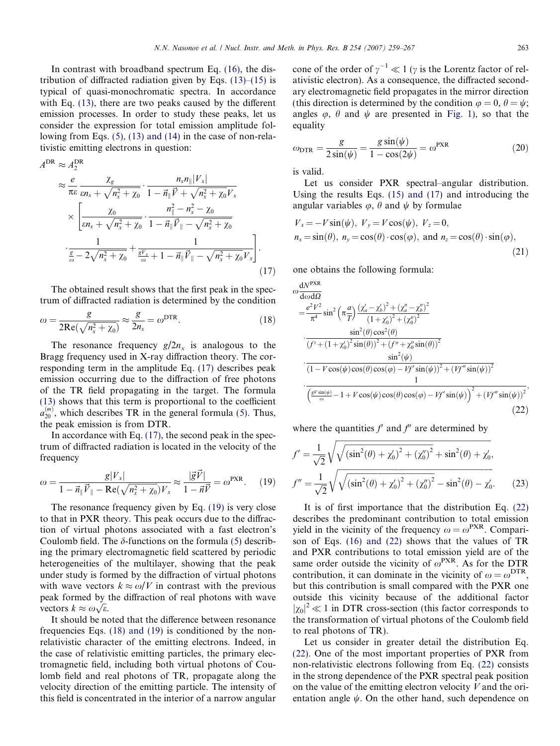<span id="page-4-0"></span>In contrast with broadband spectrum Eq. [\(16\)](#page-3-0), the distribution of diffracted radiation given by Eqs.  $(13)$ – $(15)$  is typical of quasi-monochromatic spectra. In accordance with Eq. [\(13\),](#page-3-0) there are two peaks caused by the different emission processes. In order to study these peaks, let us consider the expression for total emission amplitude following from Eqs. [\(5\), \(13\) and \(14\)](#page-2-0) in the case of non-relativistic emitting electrons in question:

$$
ADR \approx A2DR
$$
  
\approx  $\frac{e}{\pi \varepsilon} \frac{\chi_{g}}{\varepsilon n_{x} + \sqrt{n_{x}^{2} + \chi_{0}} \cdot \frac{n_{x} n_{\parallel} |V_{x}|}{1 - \vec{n}_{\parallel} \vec{V} + \sqrt{n_{x}^{2} + \chi_{0}} V_{x}}$   
\times  $\left[ \frac{\chi_{0}}{\varepsilon n_{x} + \sqrt{n_{x}^{2} + \chi_{0}}} \cdot \frac{n_{\parallel}^{2} - n_{x}^{2} - \chi_{0}}{1 - \vec{n}_{\parallel} \vec{V}_{\parallel} - \sqrt{n_{x}^{2} + \chi_{0}}}\right]$   
\times  $\frac{1}{\frac{\varepsilon}{\omega} - 2\sqrt{n_{x}^{2} + \chi_{0}}} + \frac{1}{\frac{gV_{x}}{\omega} + 1 - \vec{n}_{\parallel} \vec{V}_{\parallel} - \sqrt{n_{x}^{2} + \chi_{0}} V_{x}}$  (17)

The obtained result shows that the first peak in the spectrum of diffracted radiation is determined by the condition

$$
\omega = \frac{g}{2\text{Re}(\sqrt{n_x^2 + \chi_0})} \approx \frac{g}{2n_x} = \omega^{\text{DTR}}.
$$
\n(18)

The resonance frequency  $g/2n<sub>x</sub>$  is analogous to the Bragg frequency used in X-ray diffraction theory. The corresponding term in the amplitude Eq. (17) describes peak emission occurring due to the diffraction of free photons of the TR field propagating in the target. The formula [\(13\)](#page-3-0) shows that this term is proportional to the coefficient  $a_{20}^{(m)}$ , which describes TR in the general formula [\(5\)](#page-2-0). Thus, the peak emission is from DTR.

In accordance with Eq. (17), the second peak in the spectrum of diffracted radiation is located in the velocity of the frequency

$$
\omega = \frac{g|V_x|}{1 - \vec{n}_{\parallel}\vec{V}_{\parallel} - \text{Re}(\sqrt{n_x^2 + \chi_0})V_x} \approx \frac{|\vec{g}\vec{V}|}{1 - \vec{n}\vec{V}} = \omega^{\text{PXR}}.\tag{19}
$$

The resonance frequency given by Eq. (19) is very close to that in PXR theory. This peak occurs due to the diffraction of virtual photons associated with a fast electron's Coulomb field. The  $\delta$ -functions on the formula [\(5\)](#page-2-0) describing the primary electromagnetic field scattered by periodic heterogeneities of the multilayer, showing that the peak under study is formed by the diffraction of virtual photons with wave vectors  $k \approx \omega/V$  in contrast with the previous peak formed by the diffraction of real photons with wave peak formed by<br>vectors  $k \approx \omega \sqrt{\varepsilon}$ .

It should be noted that the difference between resonance frequencies Eqs. (18) and (19) is conditioned by the nonrelativistic character of the emitting electrons. Indeed, in the case of relativistic emitting particles, the primary electromagnetic field, including both virtual photons of Coulomb field and real photons of TR, propagate along the velocity direction of the emitting particle. The intensity of this field is concentrated in the interior of a narrow angular

cone of the order of  $\gamma^{-1} \ll 1$  ( $\gamma$  is the Lorentz factor of relativistic electron). As a consequence, the diffracted secondary electromagnetic field propagates in the mirror direction (this direction is determined by the condition  $\varphi = 0$ ,  $\theta = \psi$ ; angles  $\varphi$ ,  $\theta$  and  $\psi$  are presented in [Fig. 1](#page-1-0)), so that the equality

$$
\omega_{\text{DTR}} = \frac{g}{2\sin(\psi)} = \frac{g\sin(\psi)}{1 - \cos(2\psi)} = \omega^{\text{PXR}} \tag{20}
$$

is valid.

Let us consider PXR spectral–angular distribution. Using the results Eqs. [\(15\) and \(17\)](#page-3-0) and introducing the angular variables  $\varphi$ ,  $\theta$  and  $\psi$  by formulae

$$
V_x = -V\sin(\psi), V_y = V\cos(\psi), V_z = 0,
$$
  
\n
$$
n_x = \sin(\theta), n_y = \cos(\theta) \cdot \cos(\varphi), \text{ and } n_z = \cos(\theta) \cdot \sin(\varphi),
$$
  
\n(21)

one obtains the following formula:

$$
\omega \frac{dN^{PXR}}{d\omega d\Omega} = \frac{e^2 V^2}{\pi^4} \sin^2 \left(\pi \frac{a}{T}\right) \frac{\left(\chi_a' - \chi_b'\right)^2 + \left(\chi_a'' - \chi_b''\right)^2}{\left(1 + \chi_0'\right)^2 + \left(\chi_0''\right)^2} \n\cdot \frac{\sin^2(\theta) \cos^2(\theta)}{\left(f' + \left(1 + \chi_0'\right)^2 \sin(\theta)\right)^2 + \left(f'' + \chi_0'' \sin(\theta)\right)^2} \n\cdot \frac{\sin^2(\psi)}{\left(1 - V \cos(\psi)\cos(\theta) \cos(\varphi) - Vf' \sin(\psi)\right)^2 + \left(Vf'' \sin(\psi)\right)^2} \n\cdot \frac{\left(\frac{gV \sin(\psi)}{\omega} - 1 + V \cos(\psi)\cos(\theta) \cos(\varphi) - Vf' \sin(\psi)\right)^2 + \left(Vf'' \sin(\psi)\right)^2}{\left(22\right)}
$$
\n(22)

where the quantities  $f'$  and  $f''$  are determined by

$$
f' = \frac{1}{\sqrt{2}} \sqrt{\sqrt{(\sin^2(\theta) + \chi_0')^2 + (\chi_0'')^2} + \sin^2(\theta) + \chi_0'},
$$
  

$$
f'' = \frac{1}{\sqrt{2}} \sqrt{\sqrt{(\sin^2(\theta) + \chi_0')^2 + (\chi_0'')^2} - \sin^2(\theta) - \chi_0'}.
$$
 (23)

It is of first importance that the distribution Eq. (22) describes the predominant contribution to total emission yield in the vicinity of the frequency  $\omega = \omega^{PXR}$ . Comparison of Eqs. [\(16\) and \(22\)](#page-3-0) shows that the values of TR and PXR contributions to total emission yield are of the same order outside the vicinity of  $\omega^{PXR}$ . As for the DTR contribution, it can dominate in the vicinity of  $\omega = \omega^{\text{DTR}}$ , but this contribution is small compared with the PXR one outside this vicinity because of the additional factor  $|\chi_0|^2 \ll 1$  in DTR cross-section (this factor corresponds to the transformation of virtual photons of the Coulomb field to real photons of TR).

Let us consider in greater detail the distribution Eq. (22). One of the most important properties of PXR from non-relativistic electrons following from Eq. (22) consists in the strong dependence of the PXR spectral peak position on the value of the emitting electron velocity  $V$  and the orientation angle  $\psi$ . On the other hand, such dependence on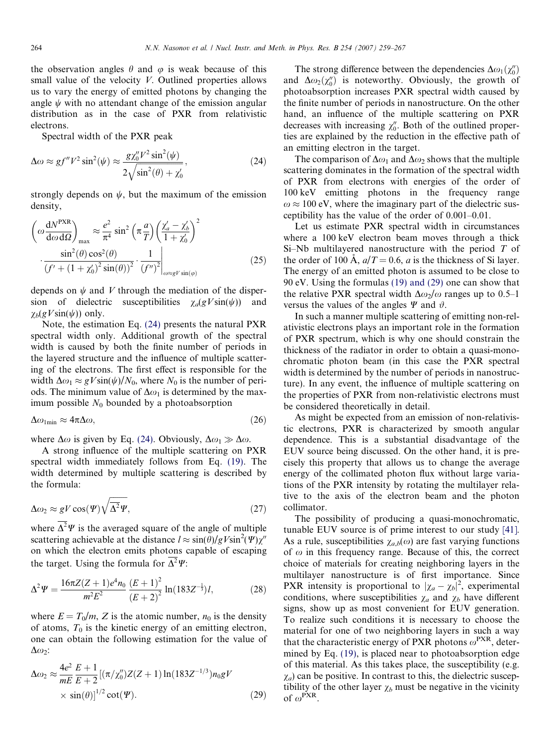<span id="page-5-0"></span>the observation angles  $\theta$  and  $\varphi$  is weak because of this small value of the velocity  $V$ . Outlined properties allows us to vary the energy of emitted photons by changing the angle  $\psi$  with no attendant change of the emission angular distribution as in the case of PXR from relativistic electrons.

Spectral width of the PXR peak

$$
\Delta \omega \approx gf''V^2 \sin^2(\psi) \approx \frac{g\chi_0''V^2 \sin^2(\psi)}{2\sqrt{\sin^2(\theta) + \chi_0'}},\tag{24}
$$

strongly depends on  $\psi$ , but the maximum of the emission density,

$$
\left(\omega \frac{dN^{PXR}}{d\omega d\Omega}\right)_{\text{max}} \approx \frac{e^2}{\pi^4} \sin^2\left(\pi \frac{a}{T}\right) \left(\frac{\chi_a' - \chi_b'}{1 + \chi_0'}\right)^2
$$

$$
\left.\frac{\sin^2(\theta) \cos^2(\theta)}{\left(f' + (1 + \chi_0')^2 \sin(\theta)\right)^2} \cdot \frac{1}{\left(f''\right)^2}\right|_{\omega \approx gV \sin(\varphi)}
$$
(25)

depends on  $\psi$  and V through the mediation of the dispersion of dielectric susceptibilities  $\gamma_a(gV\sin(\psi))$  and  $\chi_b(gV\sin(\psi))$  only.

Note, the estimation Eq. (24) presents the natural PXR spectral width only. Additional growth of the spectral width is caused by both the finite number of periods in the layered structure and the influence of multiple scattering of the electrons. The first effect is responsible for the width  $\Delta \omega_1 \approx gV\sin(\psi)/N_0$ , where  $N_0$  is the number of periods. The minimum value of  $\Delta\omega_1$  is determined by the maximum possible  $N_0$  bounded by a photoabsorption

$$
\Delta\omega_{1\text{min}} \approx 4\pi\Delta\omega,\tag{26}
$$

where  $\Delta \omega$  is given by Eq. (24). Obviously,  $\Delta \omega_1 \gg \Delta \omega$ .

A strong influence of the multiple scattering on PXR spectral width immediately follows from Eq. [\(19\).](#page-4-0) The width determined by multiple scattering is described by the formula:

$$
\Delta \omega_2 \approx gV \cos(\Psi) \sqrt{\overline{\Delta^2} \Psi}, \qquad (27)
$$

where  $\Delta^2 \Psi$  is the averaged square of the angle of multiple scattering achievable at the distance  $l \approx \sin(\theta)/gV\sin^2(\Psi)/g''$ on which the electron emits photons capable of escaping the target. Using the formula for  $\Delta^2 \Psi$ :

$$
\Delta^2 \Psi = \frac{16\pi Z(Z+1)e^4 n_0}{m^2 E^2} \frac{(E+1)^2}{(E+2)^2} \ln(183Z^{-\frac{1}{3}})l,\tag{28}
$$

where  $E = T_0/m$ , Z is the atomic number,  $n_0$  is the density of atoms,  $T_0$  is the kinetic energy of an emitting electron, one can obtain the following estimation for the value of  $\Delta \omega_2$ :

$$
\Delta \omega_2 \approx \frac{4e^2}{mE} \frac{E+1}{E+2} [(\pi/\chi_0'')Z(Z+1) \ln(183Z^{-1/3}) n_0 g V \times \sin(\theta)]^{1/2} \cot(\Psi).
$$
\n(29)

The strong difference between the dependencies  $\Delta\omega_1(\chi_0'')$ and  $\Delta\omega_2(\chi_0'')$  is noteworthy. Obviously, the growth of photoabsorption increases PXR spectral width caused by the finite number of periods in nanostructure. On the other hand, an influence of the multiple scattering on PXR decreases with increasing  $\chi_0$ <sup>n</sup>. Both of the outlined properties are explained by the reduction in the effective path of an emitting electron in the target.

The comparison of  $\Delta \omega_1$  and  $\Delta \omega_2$  shows that the multiple scattering dominates in the formation of the spectral width of PXR from electrons with energies of the order of 100 keV emitting photons in the frequency range  $\omega \approx 100$  eV, where the imaginary part of the dielectric susceptibility has the value of the order of 0.001–0.01.

Let us estimate PXR spectral width in circumstances where a 100 keV electron beam moves through a thick Si–Nb multilayered nanostructure with the period  $T$  of the order of 100 Å,  $a/T = 0.6$ , *a* is the thickness of Si layer. The energy of an emitted photon is assumed to be close to 90 eV. Using the formulas [\(19\) and \(29\)](#page-4-0) one can show that the relative PXR spectral width  $\Delta\omega_2/\omega$  ranges up to 0.5–1 versus the values of the angles  $\Psi$  and  $\vartheta$ .

In such a manner multiple scattering of emitting non-relativistic electrons plays an important role in the formation of PXR spectrum, which is why one should constrain the thickness of the radiator in order to obtain a quasi-monochromatic photon beam (in this case the PXR spectral width is determined by the number of periods in nanostructure). In any event, the influence of multiple scattering on the properties of PXR from non-relativistic electrons must be considered theoretically in detail.

As might be expected from an emission of non-relativistic electrons, PXR is characterized by smooth angular dependence. This is a substantial disadvantage of the EUV source being discussed. On the other hand, it is precisely this property that allows us to change the average energy of the collimated photon flux without large variations of the PXR intensity by rotating the multilayer relative to the axis of the electron beam and the photon collimator.

The possibility of producing a quasi-monochromatic, tunable EUV source is of prime interest to our study [\[41\]](#page-8-0). As a rule, susceptibilities  $\chi_{a,b}(\omega)$  are fast varying functions of  $\omega$  in this frequency range. Because of this, the correct choice of materials for creating neighboring layers in the multilayer nanostructure is of first importance. Since PXR intensity is proportional to  $|\chi_a - \chi_b|^2$ , experimental conditions, where susceptibilities  $\chi_a$  and  $\chi_b$  have different signs, show up as most convenient for EUV generation. To realize such conditions it is necessary to choose the material for one of two neighboring layers in such a way that the characteristic energy of PXR photons  $\omega^{\text{PXR}}$ , determined by Eq. [\(19\)](#page-4-0), is placed near to photoabsorption edge of this material. As this takes place, the susceptibility (e.g.  $\chi_a$ ) can be positive. In contrast to this, the dielectric susceptibility of the other layer  $\chi_b$  must be negative in the vicinity of  $\omega^{\text{PXR}}$ .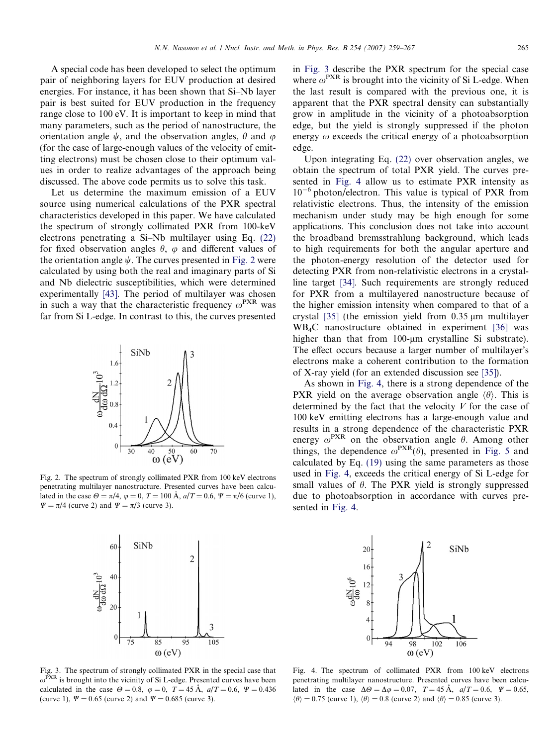A special code has been developed to select the optimum pair of neighboring layers for EUV production at desired energies. For instance, it has been shown that Si–Nb layer pair is best suited for EUV production in the frequency range close to 100 eV. It is important to keep in mind that many parameters, such as the period of nanostructure, the orientation angle  $\psi$ , and the observation angles,  $\theta$  and  $\varphi$ (for the case of large-enough values of the velocity of emitting electrons) must be chosen close to their optimum values in order to realize advantages of the approach being discussed. The above code permits us to solve this task.

Let us determine the maximum emission of a EUV source using numerical calculations of the PXR spectral characteristics developed in this paper. We have calculated the spectrum of strongly collimated PXR from 100-keV electrons penetrating a Si–Nb multilayer using Eq. [\(22\)](#page-4-0) for fixed observation angles  $\theta$ ,  $\varphi$  and different values of the orientation angle  $\psi$ . The curves presented in Fig. 2 were calculated by using both the real and imaginary parts of Si and Nb dielectric susceptibilities, which were determined experimentally [\[43\].](#page-8-0) The period of multilayer was chosen in such a way that the characteristic frequency  $\omega^{\text{PXR}}$  was far from Si L-edge. In contrast to this, the curves presented



Fig. 2. The spectrum of strongly collimated PXR from 100 keV electrons penetrating multilayer nanostructure. Presented curves have been calculated in the case  $\Theta = \pi/4$ ,  $\varphi = 0$ ,  $T = 100 \text{ Å}$ ,  $a/T = 0.6$ ,  $\Psi = \pi/6$  (curve 1),  $\Psi = \pi/4$  (curve 2) and  $\Psi = \pi/3$  (curve 3).



Fig. 3. The spectrum of strongly collimated PXR in the special case that  $\omega^{\text{PXR}}$  is brought into the vicinity of Si L-edge. Presented curves have been calculated in the case  $\Theta = 0.8$ ,  $\varphi = 0$ ,  $T = 45 \text{ Å}$ ,  $a/T = 0.6$ ,  $\Psi = 0.436$ (curve 1),  $\Psi = 0.65$  (curve 2) and  $\Psi = 0.685$  (curve 3).

in Fig. 3 describe the PXR spectrum for the special case where  $\omega^{PXR}$  is brought into the vicinity of Si L-edge. When the last result is compared with the previous one, it is apparent that the PXR spectral density can substantially grow in amplitude in the vicinity of a photoabsorption edge, but the yield is strongly suppressed if the photon energy  $\omega$  exceeds the critical energy of a photoabsorption edge.

Upon integrating Eq. [\(22\)](#page-4-0) over observation angles, we obtain the spectrum of total PXR yield. The curves presented in Fig. 4 allow us to estimate PXR intensity as 10<sup>-6</sup> photon/electron. This value is typical of PXR from relativistic electrons. Thus, the intensity of the emission mechanism under study may be high enough for some applications. This conclusion does not take into account the broadband bremsstrahlung background, which leads to high requirements for both the angular aperture and the photon-energy resolution of the detector used for detecting PXR from non-relativistic electrons in a crystalline target [\[34\]](#page-8-0). Such requirements are strongly reduced for PXR from a multilayered nanostructure because of the higher emission intensity when compared to that of a crystal  $[35]$  (the emission yield from 0.35  $\mu$ m multilayer WB4C nanostructure obtained in experiment [\[36\]](#page-8-0) was higher than that from  $100$ - $\mu$ m crystalline Si substrate). The effect occurs because a larger number of multilayer's electrons make a coherent contribution to the formation of X-ray yield (for an extended discussion see [\[35\]\)](#page-8-0).

As shown in Fig. 4, there is a strong dependence of the PXR yield on the average observation angle  $\langle \theta \rangle$ . This is determined by the fact that the velocity  $V$  for the case of 100 keV emitting electrons has a large-enough value and results in a strong dependence of the characteristic PXR energy  $\omega^{\text{PXR}}$  on the observation angle  $\theta$ . Among other things, the dependence  $\omega^{\text{PXR}}(\theta)$ , presented in [Fig. 5](#page-7-0) and calculated by Eq. [\(19\)](#page-4-0) using the same parameters as those used in Fig. 4, exceeds the critical energy of Si L-edge for small values of  $\theta$ . The PXR yield is strongly suppressed due to photoabsorption in accordance with curves presented in Fig. 4.



Fig. 4. The spectrum of collimated PXR from 100 keV electrons penetrating multilayer nanostructure. Presented curves have been calculated in the case  $\Delta\Theta = \Delta\varphi = 0.07$ ,  $T = 45 \text{ Å}$ ,  $a/T = 0.6$ ,  $\Psi = 0.65$ ,  $\langle \theta \rangle = 0.75$  (curve 1),  $\langle \theta \rangle = 0.8$  (curve 2) and  $\langle \theta \rangle = 0.85$  (curve 3).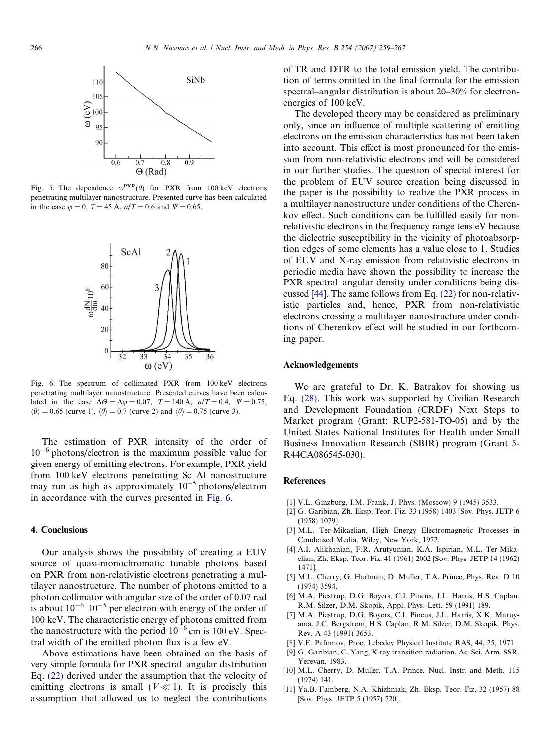<span id="page-7-0"></span>

Fig. 5. The dependence  $\omega^{\text{PXR}}(\theta)$  for PXR from 100 keV electrons penetrating multilayer nanostructure. Presented curve has been calculated in the case  $\varphi = 0$ ,  $T = 45 \text{ Å}$ ,  $a/T = 0.6$  and  $\Psi = 0.65$ .



Fig. 6. The spectrum of collimated PXR from 100 keV electrons penetrating multilayer nanostructure. Presented curves have been calculated in the case  $\Delta\Theta = \Delta\varphi = 0.07$ ,  $T = 140 \text{ Å}$ ,  $a/T = 0.4$ ,  $\Psi = 0.75$ ,  $\langle \theta \rangle = 0.65$  (curve 1),  $\langle \theta \rangle = 0.7$  (curve 2) and  $\langle \theta \rangle = 0.75$  (curve 3).

The estimation of PXR intensity of the order of 10<sup>-6</sup> photons/electron is the maximum possible value for given energy of emitting electrons. For example, PXR yield from 100 keV electrons penetrating Sc–Al nanostructure may run as high as approximately  $10^{-5}$  photons/electron in accordance with the curves presented in Fig. 6.

# 4. Conclusions

Our analysis shows the possibility of creating a EUV source of quasi-monochromatic tunable photons based on PXR from non-relativistic electrons penetrating a multilayer nanostructure. The number of photons emitted to a photon collimator with angular size of the order of 0.07 rad is about  $10^{-6}$ – $10^{-5}$  per electron with energy of the order of 100 keV. The characteristic energy of photons emitted from the nanostructure with the period  $10^{-6}$  cm is 100 eV. Spectral width of the emitted photon flux is a few eV.

Above estimations have been obtained on the basis of very simple formula for PXR spectral–angular distribution Eq. [\(22\)](#page-4-0) derived under the assumption that the velocity of emitting electrons is small ( $V \ll 1$ ). It is precisely this assumption that allowed us to neglect the contributions

of TR and DTR to the total emission yield. The contribution of terms omitted in the final formula for the emission spectral–angular distribution is about 20–30% for electronenergies of 100 keV.

The developed theory may be considered as preliminary only, since an influence of multiple scattering of emitting electrons on the emission characteristics has not been taken into account. This effect is most pronounced for the emission from non-relativistic electrons and will be considered in our further studies. The question of special interest for the problem of EUV source creation being discussed in the paper is the possibility to realize the PXR process in a multilayer nanostructure under conditions of the Cherenkov effect. Such conditions can be fulfilled easily for nonrelativistic electrons in the frequency range tens eV because the dielectric susceptibility in the vicinity of photoabsorption edges of some elements has a value close to 1. Studies of EUV and X-ray emission from relativistic electrons in periodic media have shown the possibility to increase the PXR spectral–angular density under conditions being discussed [\[44\].](#page-8-0) The same follows from Eq. [\(22\)](#page-4-0) for non-relativistic particles and, hence, PXR from non-relativistic electrons crossing a multilayer nanostructure under conditions of Cherenkov effect will be studied in our forthcoming paper.

## Acknowledgements

We are grateful to Dr. K. Batrakov for showing us Eq. [\(28\)](#page-5-0). This work was supported by Civilian Research and Development Foundation (CRDF) Next Steps to Market program (Grant: RUP2-581-TO-05) and by the United States National Institutes for Health under Small Business Innovation Research (SBIR) program (Grant 5- R44CA086545-030).

# References

- [1] V.L. Ginzburg, I.M. Frank, J. Phys. (Moscow) 9 (1945) 3533.
- [2] G. Garibian, Zh. Eksp. Teor. Fiz. 33 (1958) 1403 [Sov. Phys. JETP 6 (1958) 1079].
- [3] M.L. Ter-Mikaelian, High Energy Electromagnetic Processes in Condensed Media, Wiley, New York, 1972.
- [4] A.I. Alikhanian, F.R. Arutyunian, K.A. Ispirian, M.L. Ter-Mikaelian, Zh. Eksp. Teor. Fiz. 41 (1961) 2002 [Sov. Phys. JETP 14 (1962) 1471].
- [5] M.L. Cherry, G. Hartman, D. Muller, T.A. Prince, Phys. Rev. D 10 (1974) 3594.
- [6] M.A. Piestrup, D.G. Boyers, C.I. Pincus, J.L. Harris, H.S. Caplan, R.M. Silzer, D.M. Skopik, Appl. Phys. Lett. 59 (1991) 189.
- [7] M.A. Piestrup, D.G. Boyers, C.I. Pincus, J.L. Harris, X.K. Maruyama, J.C. Bergstrom, H.S. Caplan, R.M. Silzer, D.M. Skopik, Phys. Rev. A 43 (1991) 3653.
- [8] V.E. Pafomov, Proc. Lebedev Physical Institute RAS, 44, 25, 1971.
- [9] G. Garibian, C. Yang, X-ray transition radiation, Ac. Sci. Arm. SSR, Yerevan, 1983.
- [10] M.L. Cherry, D. Muller, T.A. Prince, Nucl. Instr. and Meth. 115 (1974) 141.
- [11] Ya.B. Fainberg, N.A. Khizhniak, Zh. Eksp. Teor. Fiz. 32 (1957) 88 [Sov. Phys. JETP 5 (1957) 720].